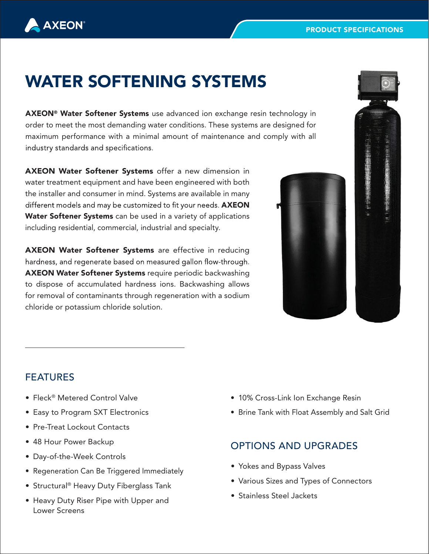# WATER SOFTENING SYSTEMS

AXEON® Water Softener Systems use advanced ion exchange resin technology in order to meet the most demanding water conditions. These systems are designed for maximum performance with a minimal amount of maintenance and comply with all industry standards and specifications.

AXEON Water Softener Systems offer a new dimension in water treatment equipment and have been engineered with both the installer and consumer in mind. Systems are available in many different models and may be customized to fit your needs. AXEON Water Softener Systems can be used in a variety of applications including residential, commercial, industrial and specialty.

AXEON Water Softener Systems are effective in reducing hardness, and regenerate based on measured gallon flow-through. AXEON Water Softener Systems require periodic backwashing to dispose of accumulated hardness ions. Backwashing allows for removal of contaminants through regeneration with a sodium chloride or potassium chloride solution.





## FEATURES

**AXEON** 

- Fleck® Metered Control Valve
- Easy to Program SXT Electronics
- Pre-Treat Lockout Contacts
- 48 Hour Power Backup
- Day-of-the-Week Controls
- Regeneration Can Be Triggered Immediately
- Structural ® Heavy Duty Fiberglass Tank
- Heavy Duty Riser Pipe with Upper and Lower Screens
- 10% Cross-Link Ion Exchange Resin
- Brine Tank with Float Assembly and Salt Grid

#### OPTIONS AND UPGRADES

- Yokes and Bypass Valves
- Various Sizes and Types of Connectors
- Stainless Steel Jackets